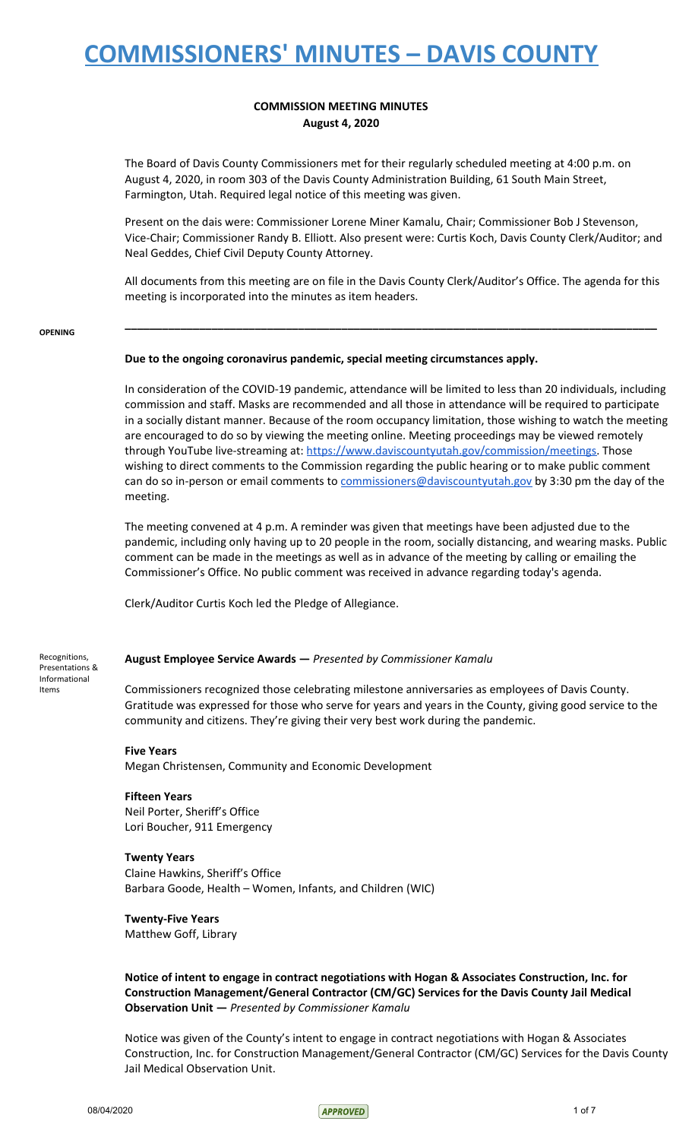### **COMMISSION MEETING MINUTES August 4, 2020**

The Board of Davis County Commissioners met for their regularly scheduled meeting at 4:00 p.m. on August 4, 2020, in room 303 of the Davis County Administration Building, 61 South Main Street, Farmington, Utah. Required legal notice of this meeting was given.

Present on the dais were: Commissioner Lorene Miner Kamalu, Chair; Commissioner Bob J Stevenson, Vice-Chair; Commissioner Randy B. Elliott. Also present were: Curtis Koch, Davis County Clerk/Auditor; and Neal Geddes, Chief Civil Deputy County Attorney.

All documents from this meeting are on file in the Davis County Clerk/Auditor's Office. The agenda for this meeting is incorporated into the minutes as item headers.

**\_\_\_\_\_\_\_\_\_\_\_\_\_\_\_\_\_\_\_\_\_\_\_\_\_\_\_\_\_\_\_\_\_\_\_\_\_\_\_\_\_\_\_\_\_\_\_\_\_\_\_\_\_\_\_\_\_\_\_\_\_\_\_\_\_\_\_\_\_\_\_\_\_\_\_\_\_\_\_\_\_\_\_\_\_\_**

#### **OPENING**

#### **Due to the ongoing coronavirus pandemic, special meeting circumstances apply.**

In consideration of the COVID-19 pandemic, attendance will be limited to less than 20 individuals, including commission and staff. Masks are recommended and all those in attendance will be required to participate in a socially distant manner. Because of the room occupancy limitation, those wishing to watch the meeting are encouraged to do so by viewing the meeting online. Meeting proceedings may be viewed remotely through YouTube live-streaming at: [https://www.daviscountyutah.gov/commission/meetings.](https://www.daviscountyutah.gov/commission/meetings) Those wishing to direct comments to the Commission regarding the public hearing or to make public comment can do so in-person or email comments to [commissioners@daviscountyutah.gov](mailto:commissioners@daviscountyutah.gov) by 3:30 pm the day of the meeting.

The meeting convened at 4 p.m. A reminder was given that meetings have been adjusted due to the pandemic, including only having up to 20 people in the room, socially distancing, and wearing masks. Public comment can be made in the meetings as well as in advance of the meeting by calling or emailing the Commissioner's Office. No public comment was received in advance regarding today's agenda.

Clerk/Auditor Curtis Koch led the Pledge of Allegiance.

Recognitions, Presentations & Informational Items

#### **August Employee Service Awards —** *Presented by Commissioner Kamalu*

Commissioners recognized those celebrating milestone anniversaries as employees of Davis County. Gratitude was expressed for those who serve for years and years in the County, giving good service to the community and citizens. They're giving their very best work during the pandemic.

#### **Five Years**

Megan Christensen, Community and Economic Development

**Fifteen Years** Neil Porter, Sheriff's Office Lori Boucher, 911 Emergency

### **Twenty Years**

Claine Hawkins, Sheriff's Office Barbara Goode, Health – Women, Infants, and Children (WIC)

### **Twenty-Five Years**

Matthew Goff, Library

**Notice of intent to engage in contract negotiations with Hogan & Associates Construction, Inc. for Construction Management/General Contractor (CM/GC) Services for the Davis County Jail Medical Observation Unit —** *Presented by Commissioner Kamalu*

Notice was given of the County's intent to engage in contract negotiations with Hogan & Associates Construction, Inc. for Construction Management/General Contractor (CM/GC) Services for the Davis County Jail Medical Observation Unit.

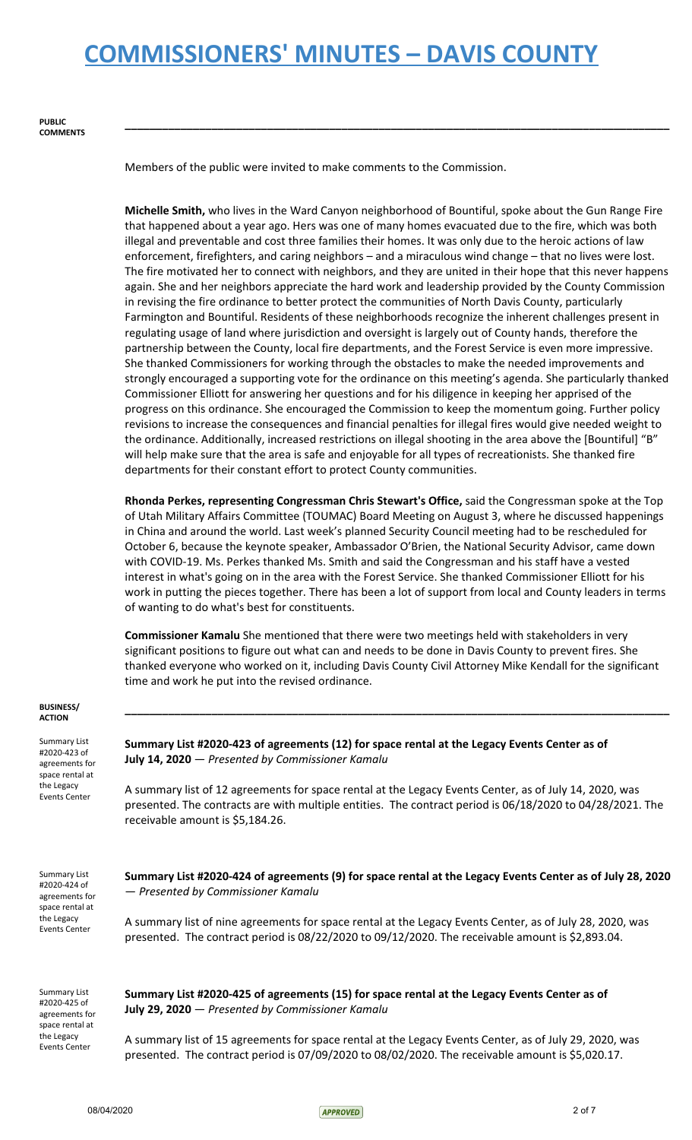Members of the public were invited to make comments to the Commission.

**Michelle Smith,** who lives in the Ward Canyon neighborhood of Bountiful, spoke about the Gun Range Fire that happened about a year ago. Hers was one of many homes evacuated due to the fire, which was both illegal and preventable and cost three families their homes. It was only due to the heroic actions of law enforcement, firefighters, and caring neighbors – and a miraculous wind change – that no lives were lost. The fire motivated her to connect with neighbors, and they are united in their hope that this never happens again. She and her neighbors appreciate the hard work and leadership provided by the County Commission in revising the fire ordinance to better protect the communities of North Davis County, particularly Farmington and Bountiful. Residents of these neighborhoods recognize the inherent challenges present in regulating usage of land where jurisdiction and oversight is largely out of County hands, therefore the partnership between the County, local fire departments, and the Forest Service is even more impressive. She thanked Commissioners for working through the obstacles to make the needed improvements and strongly encouraged a supporting vote for the ordinance on this meeting's agenda. She particularly thanked Commissioner Elliott for answering her questions and for his diligence in keeping her apprised of the progress on this ordinance. She encouraged the Commission to keep the momentum going. Further policy revisions to increase the consequences and financial penalties for illegal fires would give needed weight to the ordinance. Additionally, increased restrictions on illegal shooting in the area above the [Bountiful] "B" will help make sure that the area is safe and enjoyable for all types of recreationists. She thanked fire departments for their constant effort to protect County communities.

**\_\_\_\_\_\_\_\_\_\_\_\_\_\_\_\_\_\_\_\_\_\_\_\_\_\_\_\_\_\_\_\_\_\_\_\_\_\_\_\_\_\_\_\_\_\_\_\_\_\_\_\_\_\_\_\_\_\_\_\_\_\_\_\_\_\_\_\_\_\_\_\_\_\_\_\_\_\_\_\_\_\_\_\_\_\_\_\_**

**Rhonda Perkes, representing Congressman Chris Stewart's Office,** said the Congressman spoke at the Top of Utah Military Affairs Committee (TOUMAC) Board Meeting on August 3, where he discussed happenings in China and around the world. Last week's planned Security Council meeting had to be rescheduled for October 6, because the keynote speaker, Ambassador O'Brien, the National Security Advisor, came down with COVID-19. Ms. Perkes thanked Ms. Smith and said the Congressman and his staff have a vested interest in what's going on in the area with the Forest Service. She thanked Commissioner Elliott for his work in putting the pieces together. There has been a lot of support from local and County leaders in terms of wanting to do what's best for constituents.

**Commissioner Kamalu** She mentioned that there were two meetings held with stakeholders in very significant positions to figure out what can and needs to be done in Davis County to prevent fires. She thanked everyone who worked on it, including Davis County Civil Attorney Mike Kendall for the significant time and work he put into the revised ordinance.

| <b>BUSINESS/</b><br><b>ACTION</b>                                                                              |                                                                                                                                                                                                                                                         |
|----------------------------------------------------------------------------------------------------------------|---------------------------------------------------------------------------------------------------------------------------------------------------------------------------------------------------------------------------------------------------------|
| <b>Summary List</b><br>#2020-423 of<br>agreements for<br>space rental at                                       | Summary List #2020-423 of agreements (12) for space rental at the Legacy Events Center as of<br>July 14, 2020 - Presented by Commissioner Kamalu                                                                                                        |
| the Legacy<br><b>Events Center</b>                                                                             | A summary list of 12 agreements for space rental at the Legacy Events Center, as of July 14, 2020, was<br>presented. The contracts are with multiple entities. The contract period is 06/18/2020 to 04/28/2021. The<br>receivable amount is \$5,184.26. |
| <b>Summary List</b><br>#2020-424 of<br>agreements for<br>space rental at                                       | Summary List #2020-424 of agreements (9) for space rental at the Legacy Events Center as of July 28, 2020<br>- Presented by Commissioner Kamalu                                                                                                         |
| the Legacy<br><b>Events Center</b>                                                                             | A summary list of nine agreements for space rental at the Legacy Events Center, as of July 28, 2020, was<br>presented. The contract period is 08/22/2020 to 09/12/2020. The receivable amount is \$2,893.04.                                            |
| <b>Summary List</b><br>#2020-425 of<br>agreements for<br>space rental at<br>the Legacy<br><b>Events Center</b> | Summary List #2020-425 of agreements (15) for space rental at the Legacy Events Center as of<br>July 29, 2020 - Presented by Commissioner Kamalu                                                                                                        |
|                                                                                                                | A summary list of 15 agreements for space rental at the Legacy Events Center, as of July 29, 2020, was<br>presented. The contract period is 07/09/2020 to 08/02/2020. The receivable amount is \$5,020.17.                                              |

08/04/2020 2 of 7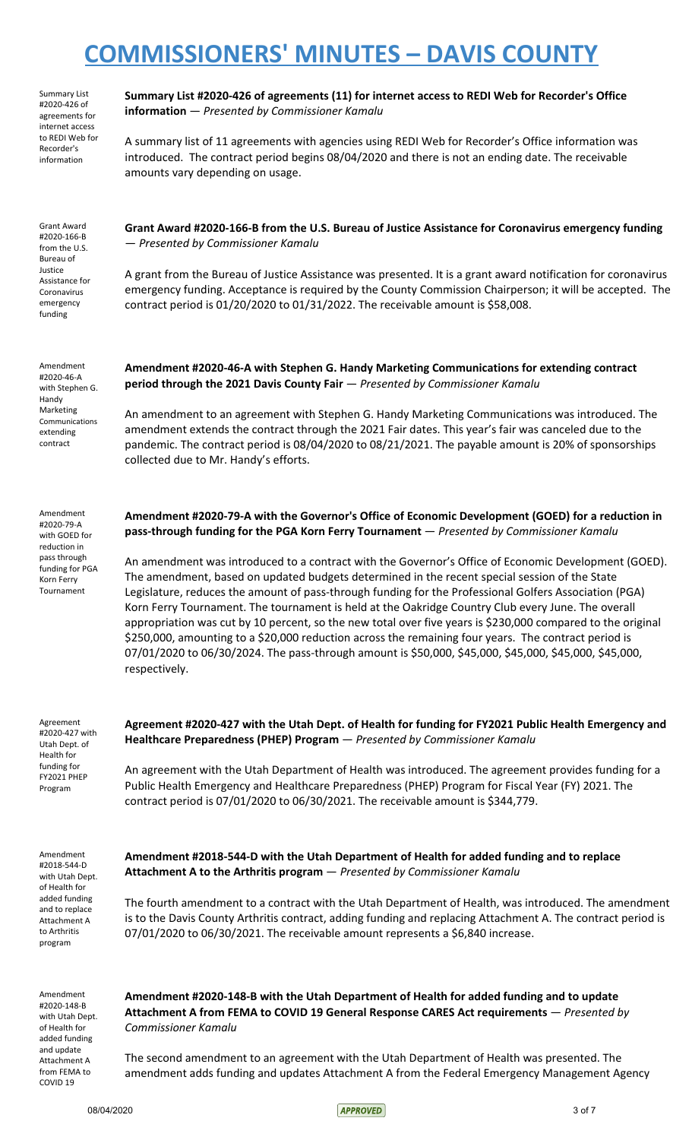Summary List #2020-426 of agreements for internet access to REDI Web for Recorder's information

Grant Award #2020-166-B from the U.S. Bureau of Justice Assistance for Coronavirus emergency funding

Amendment #2020-46-A with Stephen G. Handy Marketing Communications extending contract

**Summary List #2020-426 of agreements (11) for internet access to REDI Web for Recorder's Office information** — *Presented by Commissioner Kamalu*

A summary list of 11 agreements with agencies using REDI Web for Recorder's Office information was introduced. The contract period begins 08/04/2020 and there is not an ending date. The receivable amounts vary depending on usage.

**Grant Award #2020-166-B from the U.S. Bureau of Justice Assistance for Coronavirus emergency funding** — *Presented by Commissioner Kamalu*

A grant from the Bureau of Justice Assistance was presented. It is a grant award notification for coronavirus emergency funding. Acceptance is required by the County Commission Chairperson; it will be accepted. The contract period is 01/20/2020 to 01/31/2022. The receivable amount is \$58,008.

**Amendment #2020-46-A with Stephen G. Handy Marketing Communications for extending contract period through the 2021 Davis County Fair** — *Presented by Commissioner Kamalu*

An amendment to an agreement with Stephen G. Handy Marketing Communications was introduced. The amendment extends the contract through the 2021 Fair dates. This year's fair was canceled due to the pandemic. The contract period is 08/04/2020 to 08/21/2021. The payable amount is 20% of sponsorships collected due to Mr. Handy's efforts.

Amendment #2020-79-A with GOED for reduction in pass through funding for PGA

**Amendment #2020-79-A with the Governor's Office of Economic Development (GOED) for a reduction in pass-through funding for the PGA Korn Ferry Tournament** — *Presented by Commissioner Kamalu*

An amendment was introduced to a contract with the Governor's Office of Economic Development (GOED). The amendment, based on updated budgets determined in the recent special session of the State Legislature, reduces the amount of pass-through funding for the Professional Golfers Association (PGA) Korn Ferry Tournament. The tournament is held at the Oakridge Country Club every June. The overall appropriation was cut by 10 percent, so the new total over five years is \$230,000 compared to the original \$250,000, amounting to a \$20,000 reduction across the remaining four years. The contract period is 07/01/2020 to 06/30/2024. The pass-through amount is \$50,000, \$45,000, \$45,000, \$45,000, \$45,000, respectively.

Agreement #2020-427 with Utah Dept. of Health for funding for FY2021 PHEP Program

Korn Ferry Tournament

> **Agreement #2020-427 with the Utah Dept. of Health for funding for FY2021 Public Health Emergency and Healthcare Preparedness (PHEP) Program** — *Presented by Commissioner Kamalu*

An agreement with the Utah Department of Health was introduced. The agreement provides funding for a Public Health Emergency and Healthcare Preparedness (PHEP) Program for Fiscal Year (FY) 2021. The contract period is 07/01/2020 to 06/30/2021. The receivable amount is \$344,779.

Amendment #2018-544-D with Utah Dept. of Health for added funding and to replace Attachment A to Arthritis program

**Amendment #2018-544-D with the Utah Department of Health for added funding and to replace Attachment A to the Arthritis program** — *Presented by Commissioner Kamalu*

The fourth amendment to a contract with the Utah Department of Health, was introduced. The amendment is to the Davis County Arthritis contract, adding funding and replacing Attachment A. The contract period is 07/01/2020 to 06/30/2021. The receivable amount represents a \$6,840 increase.

Amendment #2020-148-B with Utah Dept. of Health for added funding and update Attachment A from FEMA to COVID 19

**Amendment #2020-148-B with the Utah Department of Health for added funding and to update Attachment A from FEMA to COVID 19 General Response CARES Act requirements** — *Presented by Commissioner Kamalu*

The second amendment to an agreement with the Utah Department of Health was presented. The amendment adds funding and updates Attachment A from the Federal Emergency Management Agency

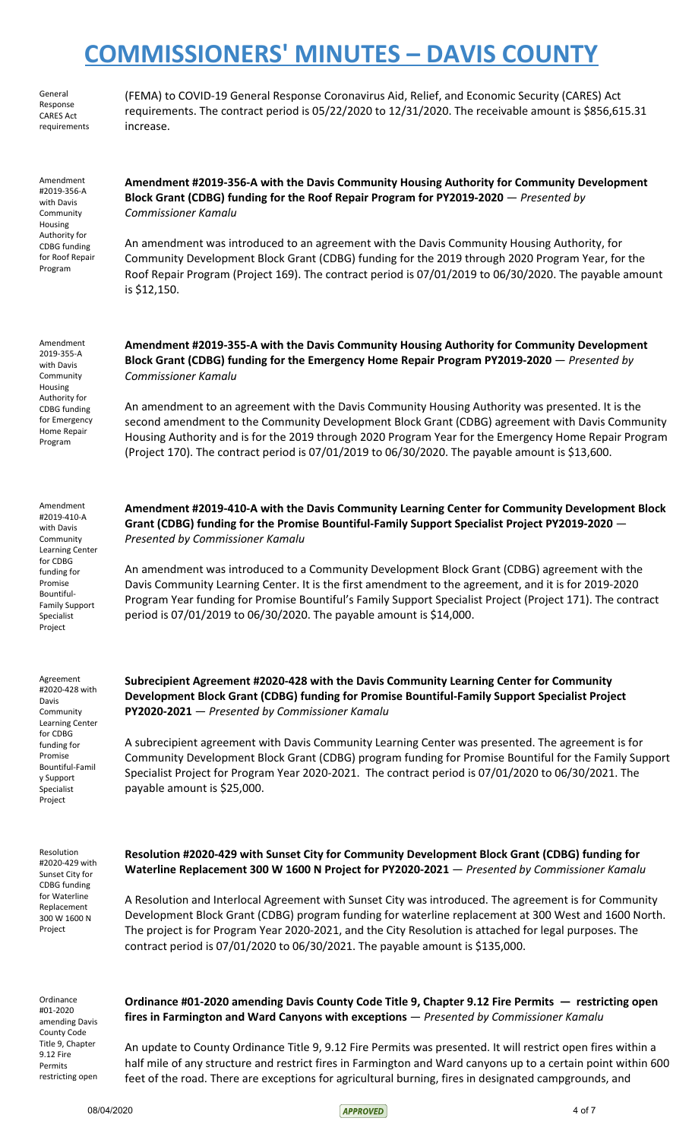General Response CARES Act requirements

Amendment #2019-356-A with Davis **Community** Housing Authority for CDBG funding for Roof Repair Program

Amendment 2019-355-A with Davis Community Housing Authority for CDBG funding for Emergency (FEMA) to COVID-19 General Response Coronavirus Aid, Relief, and Economic Security (CARES) Act requirements. The contract period is 05/22/2020 to 12/31/2020. The receivable amount is \$856,615.31 increase.

**Amendment #2019-356-A with the Davis Community Housing Authority for Community Development**

**Block Grant (CDBG) funding for the Roof Repair Program for PY2019-2020** — *Presented by*

**Amendment #2019-355-A with the Davis Community Housing Authority for Community Development Block Grant (CDBG) funding for the Emergency Home Repair Program PY2019-2020** — *Presented by*

An amendment was introduced to an agreement with the Davis Community Housing Authority, for Community Development Block Grant (CDBG) funding for the 2019 through 2020 Program Year, for the Roof Repair Program (Project 169). The contract period is 07/01/2019 to 06/30/2020. The payable amount

*Commissioner Kamalu*

is \$12,150.

*Commissioner Kamalu*

An amendment to an agreement with the Davis Community Housing Authority was presented. It is the second amendment to the Community Development Block Grant (CDBG) agreement with Davis Community Housing Authority and is for the 2019 through 2020 Program Year for the Emergency Home Repair Program (Project 170). The contract period is 07/01/2019 to 06/30/2020. The payable amount is \$13,600.

**Amendment #2019-410-A with the Davis Community Learning Center for Community Development Block Grant (CDBG) funding for the Promise Bountiful-Family Support Specialist Project PY2019-2020** — *Presented by Commissioner Kamalu*

An amendment was introduced to a Community Development Block Grant (CDBG) agreement with the Davis Community Learning Center. It is the first amendment to the agreement, and it is for 2019-2020 Program Year funding for Promise Bountiful's Family Support Specialist Project (Project 171). The contract period is 07/01/2019 to 06/30/2020. The payable amount is \$14,000.

**Subrecipient Agreement #2020-428 with the Davis Community Learning Center for Community Development Block Grant (CDBG) funding for Promise Bountiful-Family Support Specialist Project PY2020-2021** — *Presented by Commissioner Kamalu*

A subrecipient agreement with Davis Community Learning Center was presented. The agreement is for Community Development Block Grant (CDBG) program funding for Promise Bountiful for the Family Support Specialist Project for Program Year 2020-2021. The contract period is 07/01/2020 to 06/30/2021. The payable amount is \$25,000.

Resolution #2020-429 with Sunset City for CDBG funding for Waterline Replacement 300 W 1600 N Project

Ordinance #01-2020 amending Davis County Code Title 9, Chapter 9.12 Fire Permits restricting open **Resolution #2020-429 with Sunset City for Community Development Block Grant (CDBG) funding for Waterline Replacement 300 W 1600 N Project for PY2020-2021** — *Presented by Commissioner Kamalu*

A Resolution and Interlocal Agreement with Sunset City was introduced. The agreement is for Community Development Block Grant (CDBG) program funding for waterline replacement at 300 West and 1600 North. The project is for Program Year 2020-2021, and the City Resolution is attached for legal purposes. The contract period is 07/01/2020 to 06/30/2021. The payable amount is \$135,000.

**fires in Farmington and Ward Canyons with exceptions** — *Presented by Commissioner Kamalu*

**Ordinance #01-2020 amending Davis County Code Title 9, Chapter 9.12 Fire Permits — restricting open**

An update to County Ordinance Title 9, 9.12 Fire Permits was presented. It will restrict open fires within a half mile of any structure and restrict fires in Farmington and Ward canyons up to a certain point within 600 feet of the road. There are exceptions for agricultural burning, fires in designated campgrounds, and

Bountiful-Family Support Specialist Project

Agreement #2020-428 with Davis Community Learning Center for CDBG funding for Promise Bountiful-Famil y Support Specialist Project

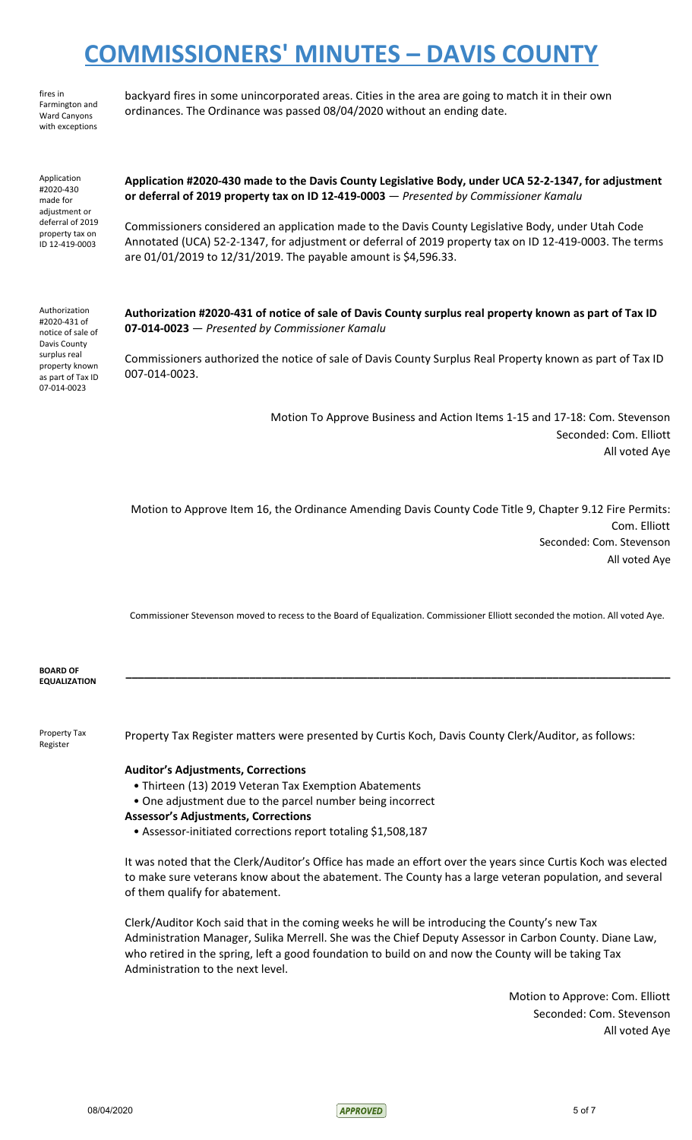ordinances. The Ordinance was passed 08/04/2020 without an ending date.

backyard fires in some unincorporated areas. Cities in the area are going to match it in their own

fires in Farmington and Ward Canyons with exceptions

Application #2020-430 made for adjustment or

deferral of 2019 property tax on ID 12-419-0003

**Application #2020-430 made to the Davis County Legislative Body, under UCA 52-2-1347, for adjustment or deferral of 2019 property tax on ID 12-419-0003** — *Presented by Commissioner Kamalu*

Commissioners considered an application made to the Davis County Legislative Body, under Utah Code Annotated (UCA) 52-2-1347, for adjustment or deferral of 2019 property tax on ID 12-419-0003. The terms are 01/01/2019 to 12/31/2019. The payable amount is \$4,596.33.

Authorization #2020-431 of notice of sale of Davis County surplus real property known as part of Tax ID 07-014-0023

Authorization #2020-431 of notice of sale of Davis County surplus real property known as part of Tax ID **07-014-0023** — *Presented by Commissioner Kamalu*

Commissioners authorized the notice of sale of Davis County Surplus Real Property known as part of Tax ID 007-014-0023.

> Motion To Approve Business and Action Items 1-15 and 17-18: Com. Stevenson Seconded: Com. Elliott All voted Aye

Motion to Approve Item 16, the Ordinance Amending Davis County Code Title 9, Chapter 9.12 Fire Permits: Com. Elliott Seconded: Com. Stevenson All voted Aye

Commissioner Stevenson moved to recess to the Board of Equalization. Commissioner Elliott seconded the motion. All voted Aye.

**\_\_\_\_\_\_\_\_\_\_\_\_\_\_\_\_\_\_\_\_\_\_\_\_\_\_\_\_\_\_\_\_\_\_\_\_\_\_\_\_\_\_\_\_\_\_\_\_\_\_\_\_\_\_\_\_\_\_\_\_\_\_\_\_\_\_\_\_\_\_\_\_\_\_\_\_\_\_\_\_\_\_\_\_\_\_\_\_**

**BOARD OF EQUALIZATION**

Property Tax Register

Property Tax Register matters were presented by Curtis Koch, Davis County Clerk/Auditor, as follows:

### **Auditor's Adjustments, Corrections**

- Thirteen (13) 2019 Veteran Tax Exemption Abatements
- One adjustment due to the parcel number being incorrect

#### **Assessor's Adjustments, Corrections**

• Assessor-initiated corrections report totaling \$1,508,187

It was noted that the Clerk/Auditor's Office has made an effort over the years since Curtis Koch was elected to make sure veterans know about the abatement. The County has a large veteran population, and several of them qualify for abatement.

Clerk/Auditor Koch said that in the coming weeks he will be introducing the County's new Tax Administration Manager, Sulika Merrell. She was the Chief Deputy Assessor in Carbon County. Diane Law, who retired in the spring, left a good foundation to build on and now the County will be taking Tax Administration to the next level.

> Motion to Approve: Com. Elliott Seconded: Com. Stevenson All voted Aye

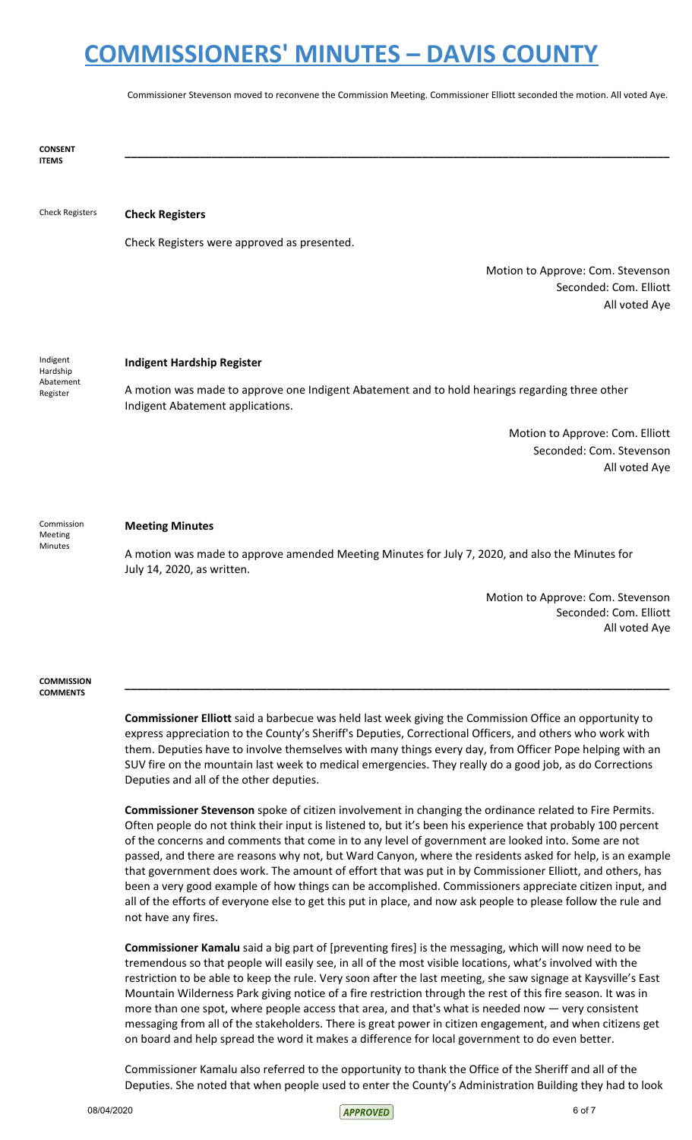Commissioner Stevenson moved to reconvene the Commission Meeting. Commissioner Elliott seconded the motion. All voted Aye.

**\_\_\_\_\_\_\_\_\_\_\_\_\_\_\_\_\_\_\_\_\_\_\_\_\_\_\_\_\_\_\_\_\_\_\_\_\_\_\_\_\_\_\_\_\_\_\_\_\_\_\_\_\_\_\_\_\_\_\_\_\_\_\_\_\_\_\_\_\_\_\_\_\_\_\_\_\_\_\_\_\_\_\_\_\_\_\_\_**

**CONSENT ITEMS**

### Check Registers **Check Registers**

Check Registers were approved as presented.

Motion to Approve: Com. Stevenson Seconded: Com. Elliott All voted Aye

Indigent Hardship Abatement Register

#### **Indigent Hardship Register**

A motion was made to approve one Indigent Abatement and to hold hearings regarding three other Indigent Abatement applications.

> Motion to Approve: Com. Elliott Seconded: Com. Stevenson All voted Aye

Commission Meeting Minutes

### **Meeting Minutes**

A motion was made to approve amended Meeting Minutes for July 7, 2020, and also the Minutes for July 14, 2020, as written.

> Motion to Approve: Com. Stevenson Seconded: Com. Elliott All voted Aye

**COMMISSION COMMENTS**

> **Commissioner Elliott** said a barbecue was held last week giving the Commission Office an opportunity to express appreciation to the County's Sheriff's Deputies, Correctional Officers, and others who work with them. Deputies have to involve themselves with many things every day, from Officer Pope helping with an SUV fire on the mountain last week to medical emergencies. They really do a good job, as do Corrections Deputies and all of the other deputies.

**\_\_\_\_\_\_\_\_\_\_\_\_\_\_\_\_\_\_\_\_\_\_\_\_\_\_\_\_\_\_\_\_\_\_\_\_\_\_\_\_\_\_\_\_\_\_\_\_\_\_\_\_\_\_\_\_\_\_\_\_\_\_\_\_\_\_\_\_\_\_\_\_\_\_\_\_\_\_\_\_\_\_\_\_\_\_\_\_**

**Commissioner Stevenson** spoke of citizen involvement in changing the ordinance related to Fire Permits. Often people do not think their input is listened to, but it's been his experience that probably 100 percent of the concerns and comments that come in to any level of government are looked into. Some are not passed, and there are reasons why not, but Ward Canyon, where the residents asked for help, is an example that government does work. The amount of effort that was put in by Commissioner Elliott, and others, has been a very good example of how things can be accomplished. Commissioners appreciate citizen input, and all of the efforts of everyone else to get this put in place, and now ask people to please follow the rule and not have any fires.

**Commissioner Kamalu** said a big part of [preventing fires] is the messaging, which will now need to be tremendous so that people will easily see, in all of the most visible locations, what's involved with the restriction to be able to keep the rule. Very soon after the last meeting, she saw signage at Kaysville's East Mountain Wilderness Park giving notice of a fire restriction through the rest of this fire season. It was in more than one spot, where people access that area, and that's what is needed now — very consistent messaging from all of the stakeholders. There is great power in citizen engagement, and when citizens get on board and help spread the word it makes a difference for local government to do even better.

Commissioner Kamalu also referred to the opportunity to thank the Office of the Sheriff and all of the Deputies. She noted that when people used to enter the County's Administration Building they had to look